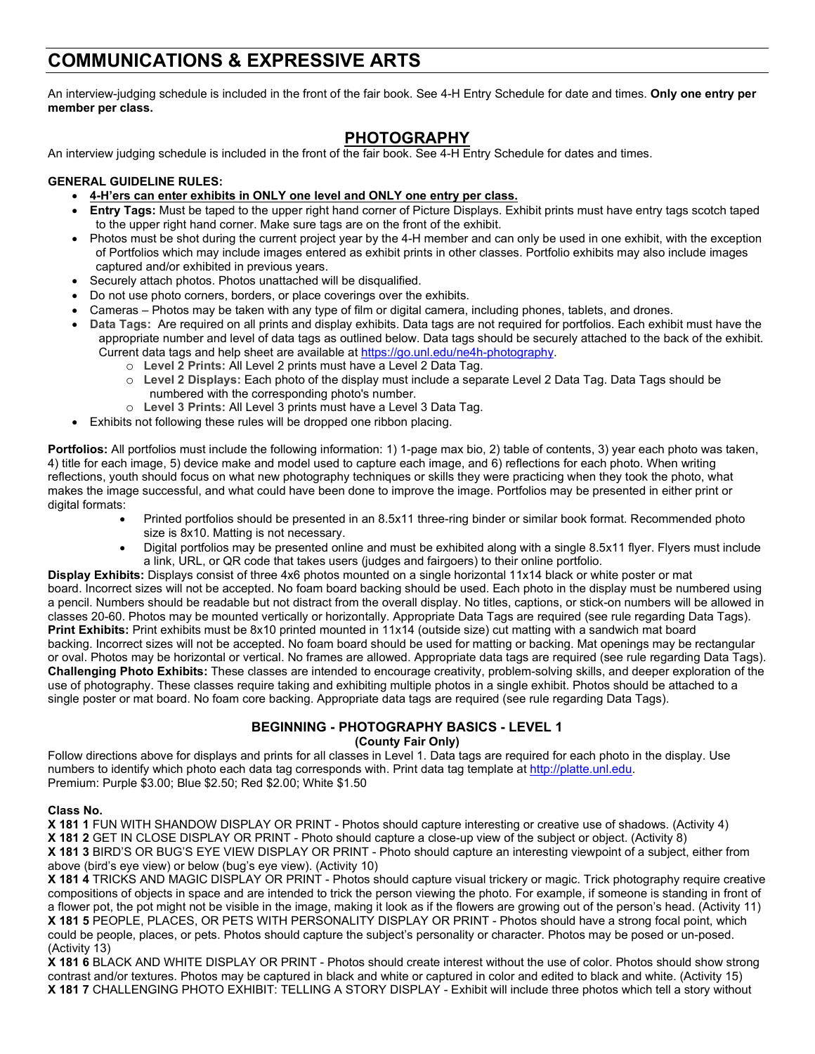# **COMMUNICATIONS & EXPRESSIVE ARTS**

An interview-judging schedule is included in the front of the fair book. See 4-H Entry Schedule for date and times. **Only one entry per member per class.**

# **PHOTOGRAPHY**

An interview judging schedule is included in the front of the fair book. See 4-H Entry Schedule for dates and times.

# **GENERAL GUIDELINE RULES:**

- **4-H'ers can enter exhibits in ONLY one level and ONLY one entry per class.**
- **Entry Tags:** Must be taped to the upper right hand corner of Picture Displays. Exhibit prints must have entry tags scotch taped to the upper right hand corner. Make sure tags are on the front of the exhibit.
- Photos must be shot during the current project year by the 4-H member and can only be used in one exhibit, with the exception of Portfolios which may include images entered as exhibit prints in other classes. Portfolio exhibits may also include images captured and/or exhibited in previous years.
- Securely attach photos. Photos unattached will be disqualified.
- Do not use photo corners, borders, or place coverings over the exhibits.
- Cameras Photos may be taken with any type of film or digital camera, including phones, tablets, and drones.
- **Data Tags:** Are required on all prints and display exhibits. Data tags are not required for portfolios. Each exhibit must have the appropriate number and level of data tags as outlined below. Data tags should be securely attached to the back of the exhibit. Current data tags and help sheet are available a[t https://go.unl.edu/ne4h-photography.](https://go.unl.edu/ne4h-photography)
	- o **Level 2 Prints:** All Level 2 prints must have a Level 2 Data Tag.
	- o **Level 2 Displays:** Each photo of the display must include a separate Level 2 Data Tag. Data Tags should be numbered with the corresponding photo's number.
	- o **Level 3 Prints:** All Level 3 prints must have a Level 3 Data Tag.
- Exhibits not following these rules will be dropped one ribbon placing.

**Portfolios:** All portfolios must include the following information: 1) 1-page max bio, 2) table of contents, 3) year each photo was taken, 4) title for each image, 5) device make and model used to capture each image, and 6) reflections for each photo. When writing reflections, youth should focus on what new photography techniques or skills they were practicing when they took the photo, what makes the image successful, and what could have been done to improve the image. Portfolios may be presented in either print or digital formats:

- Printed portfolios should be presented in an 8.5x11 three-ring binder or similar book format. Recommended photo size is 8x10. Matting is not necessary.
- Digital portfolios may be presented online and must be exhibited along with a single 8.5x11 flyer. Flyers must include a link, URL, or QR code that takes users (judges and fairgoers) to their online portfolio.

**Display Exhibits:** Displays consist of three 4x6 photos mounted on a single horizontal 11x14 black or white poster or mat board. Incorrect sizes will not be accepted. No foam board backing should be used. Each photo in the display must be numbered using a pencil. Numbers should be readable but not distract from the overall display. No titles, captions, or stick-on numbers will be allowed in classes 20-60. Photos may be mounted vertically or horizontally. Appropriate Data Tags are required (see rule regarding Data Tags). **Print Exhibits:** Print exhibits must be 8x10 printed mounted in 11x14 (outside size) cut matting with a sandwich mat board backing. Incorrect sizes will not be accepted. No foam board should be used for matting or backing. Mat openings may be rectangular or oval. Photos may be horizontal or vertical. No frames are allowed. Appropriate data tags are required (see rule regarding Data Tags). **Challenging Photo Exhibits:** These classes are intended to encourage creativity, problem-solving skills, and deeper exploration of the use of photography. These classes require taking and exhibiting multiple photos in a single exhibit. Photos should be attached to a single poster or mat board. No foam core backing. Appropriate data tags are required (see rule regarding Data Tags).

# **BEGINNING - PHOTOGRAPHY BASICS - LEVEL 1**

**(County Fair Only)**

Follow directions above for displays and prints for all classes in Level 1. Data tags are required for each photo in the display. Use numbers to identify which photo each data tag corresponds with. Print data tag template at [http://platte.unl.edu.](http://platte.unl.edu/) Premium: Purple \$3.00; Blue \$2.50; Red \$2.00; White \$1.50

## **Class No.**

**X 181 1** FUN WITH SHANDOW DISPLAY OR PRINT - Photos should capture interesting or creative use of shadows. (Activity 4) **X 181 2** GET IN CLOSE DISPLAY OR PRINT - Photo should capture a close-up view of the subject or object. (Activity 8) **X 181 3** BIRD'S OR BUG'S EYE VIEW DISPLAY OR PRINT - Photo should capture an interesting viewpoint of a subject, either from above (bird's eye view) or below (bug's eye view). (Activity 10)

**X 181 4** TRICKS AND MAGIC DISPLAY OR PRINT - Photos should capture visual trickery or magic. Trick photography require creative compositions of objects in space and are intended to trick the person viewing the photo. For example, if someone is standing in front of a flower pot, the pot might not be visible in the image, making it look as if the flowers are growing out of the person's head. (Activity 11) **X 181 5** PEOPLE, PLACES, OR PETS WITH PERSONALITY DISPLAY OR PRINT - Photos should have a strong focal point, which could be people, places, or pets. Photos should capture the subject's personality or character. Photos may be posed or un-posed. (Activity 13)

**X 181 6** BLACK AND WHITE DISPLAY OR PRINT - Photos should create interest without the use of color. Photos should show strong contrast and/or textures. Photos may be captured in black and white or captured in color and edited to black and white. (Activity 15) **X 181 7** CHALLENGING PHOTO EXHIBIT: TELLING A STORY DISPLAY - Exhibit will include three photos which tell a story without